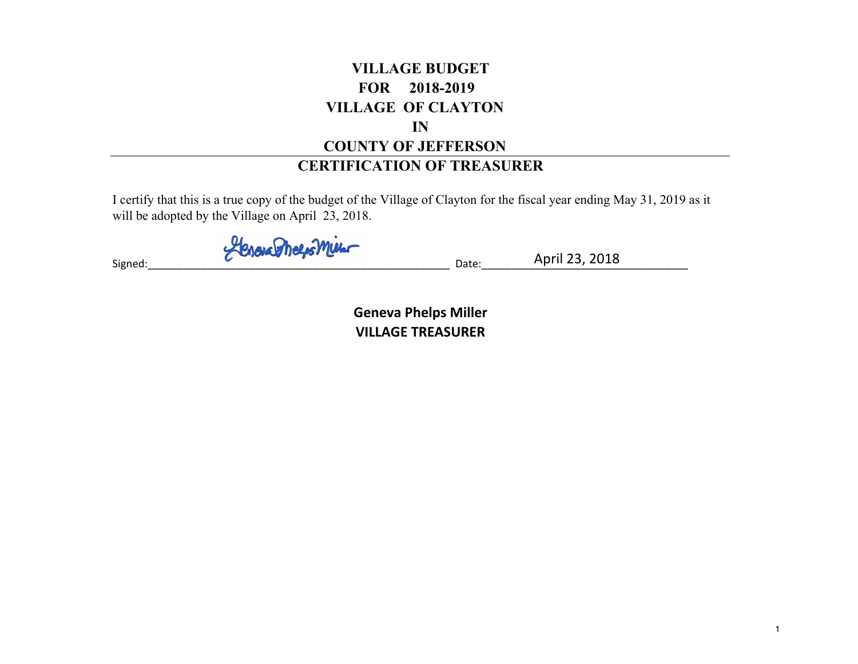### **VILLAGE BUDGET FOR 2018-2019 VILLAGE OF CLAYTON INCOUNTY OF JEFFERSON**

#### **CERTIFICATION OF TREASURER**

I certify that this is a true copy of the budget of the Village of Clayton for the fiscal year ending May 31, 2019 as it will be adopted by the Village on April 23, 2018.

 $\mathsf{Signed:}\_\_\_\_\_\_\_\_\_\_\_$ 

April 23, 2018

**Geneva Phelps Miller VILLAGE TREASURER**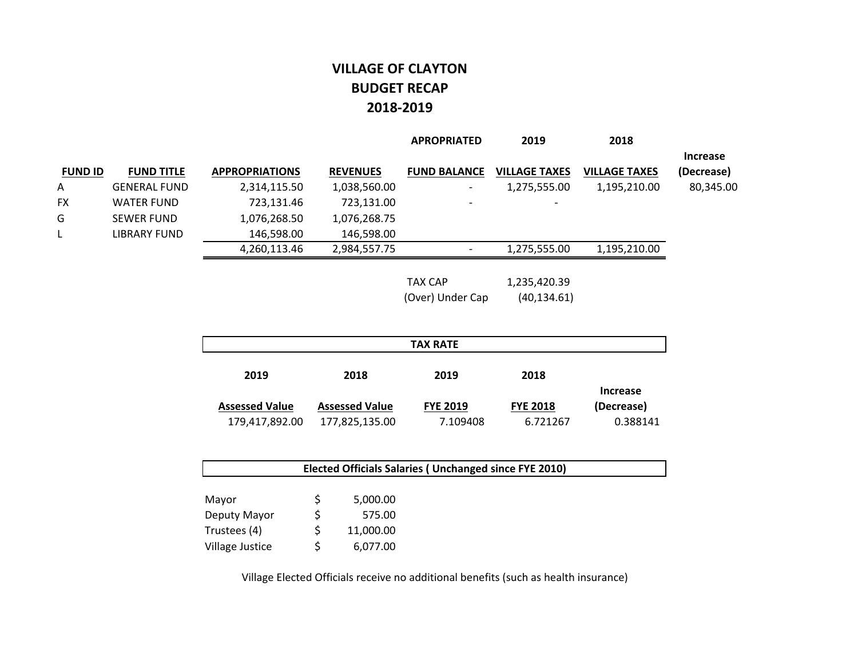#### **VILLAGE OF CLAYTON BUDGET RECAP 2018‐2019**

|                |                     |                       |                 | <b>APROPRIATED</b>       | 2019                 | 2018                 |                 |
|----------------|---------------------|-----------------------|-----------------|--------------------------|----------------------|----------------------|-----------------|
|                |                     |                       |                 |                          |                      |                      | <b>Increase</b> |
| <b>FUND ID</b> | <b>FUND TITLE</b>   | <b>APPROPRIATIONS</b> | <b>REVENUES</b> | <b>FUND BALANCE</b>      | <b>VILLAGE TAXES</b> | <b>VILLAGE TAXES</b> | (Decrease)      |
| A              | <b>GENERAL FUND</b> | 2,314,115.50          | 1,038,560.00    | $\overline{\phantom{a}}$ | 1,275,555.00         | 1,195,210.00         | 80,345.00       |
| <b>FX</b>      | <b>WATER FUND</b>   | 723,131.46            | 723,131.00      | $\overline{\phantom{0}}$ |                      |                      |                 |
| G              | <b>SEWER FUND</b>   | 1,076,268.50          | 1,076,268.75    |                          |                      |                      |                 |
| L              | LIBRARY FUND        | 146,598.00            | 146,598.00      |                          |                      |                      |                 |
|                |                     | 4,260,113.46          | 2,984,557.75    |                          | 1,275,555.00         | 1,195,210.00         |                 |
|                |                     |                       |                 |                          |                      |                      |                 |

TAX CAP 1,235,420.39 (Over) Under Cap (40,134.61)

| <b>TAX RATE</b>       |                       |                 |                 |                 |  |  |  |
|-----------------------|-----------------------|-----------------|-----------------|-----------------|--|--|--|
| 2019                  | 2018                  | 2019            | 2018            |                 |  |  |  |
|                       |                       |                 |                 | <b>Increase</b> |  |  |  |
| <b>Assessed Value</b> | <b>Assessed Value</b> | <b>FYE 2019</b> | <b>FYE 2018</b> | (Decrease)      |  |  |  |
| 179,417,892.00        | 177,825,135.00        | 7.109408        | 6.721267        | 0.388141        |  |  |  |

| <b>Elected Officials Salaries ( Unchanged since FYE 2010)</b> |  |           |  |  |  |  |
|---------------------------------------------------------------|--|-----------|--|--|--|--|
|                                                               |  |           |  |  |  |  |
| Mayor                                                         |  | 5,000.00  |  |  |  |  |
| Deputy Mayor                                                  |  | 575.00    |  |  |  |  |
| Trustees (4)                                                  |  | 11,000.00 |  |  |  |  |
| Village Justice                                               |  | 6,077.00  |  |  |  |  |

Village Elected Officials receive no additional benefits (such as health insurance)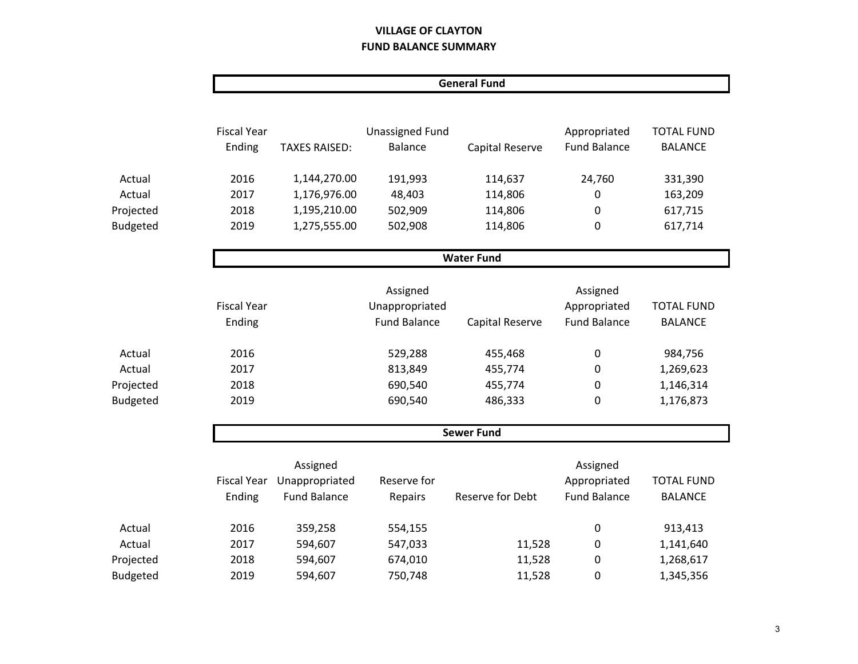#### **VILLAGE OF CLAYTON FUND BALANCE SUMMARY**

|                 |                    |                      |                        | <b>General Fund</b> |                     |                   |
|-----------------|--------------------|----------------------|------------------------|---------------------|---------------------|-------------------|
|                 |                    |                      |                        |                     |                     |                   |
|                 | <b>Fiscal Year</b> |                      | <b>Unassigned Fund</b> |                     | Appropriated        | <b>TOTAL FUND</b> |
|                 | Ending             | <b>TAXES RAISED:</b> | <b>Balance</b>         | Capital Reserve     | <b>Fund Balance</b> | <b>BALANCE</b>    |
| Actual          | 2016               | 1,144,270.00         | 191,993                | 114,637             | 24,760              | 331,390           |
| Actual          | 2017               | 1,176,976.00         | 48,403                 | 114,806             | 0                   | 163,209           |
| Projected       | 2018               | 1,195,210.00         | 502,909                | 114,806             | 0                   | 617,715           |
| <b>Budgeted</b> | 2019               | 1,275,555.00         | 502,908                | 114,806             | 0                   | 617,714           |
|                 |                    |                      |                        | <b>Water Fund</b>   |                     |                   |
|                 |                    |                      | Assigned               |                     | Assigned            |                   |
|                 | <b>Fiscal Year</b> |                      | Unappropriated         |                     | Appropriated        | <b>TOTAL FUND</b> |
|                 | Ending             |                      | <b>Fund Balance</b>    | Capital Reserve     | <b>Fund Balance</b> | <b>BALANCE</b>    |
| Actual          | 2016               |                      | 529,288                | 455,468             | 0                   | 984,756           |
| Actual          | 2017               |                      | 813,849                | 455,774             | 0                   | 1,269,623         |
| Projected       | 2018               |                      | 690,540                | 455,774             | 0                   | 1,146,314         |
| <b>Budgeted</b> | 2019               |                      | 690,540                | 486,333             | 0                   | 1,176,873         |
|                 |                    |                      |                        | <b>Sewer Fund</b>   |                     |                   |
|                 |                    | Assigned             |                        |                     | Assigned            |                   |
|                 | <b>Fiscal Year</b> | Unappropriated       | Reserve for            |                     | Appropriated        | <b>TOTAL FUND</b> |
|                 | Ending             | <b>Fund Balance</b>  | Repairs                | Reserve for Debt    | <b>Fund Balance</b> | <b>BALANCE</b>    |
| Actual          | 2016               | 359,258              | 554,155                |                     | 0                   | 913,413           |
| Actual          | 2017               | 594,607              | 547,033                | 11,528              | 0                   | 1,141,640         |
| Projected       | 2018               | 594,607              | 674,010                | 11,528              | 0                   | 1,268,617         |
| <b>Budgeted</b> | 2019               | 594,607              | 750,748                | 11,528              | 0                   | 1,345,356         |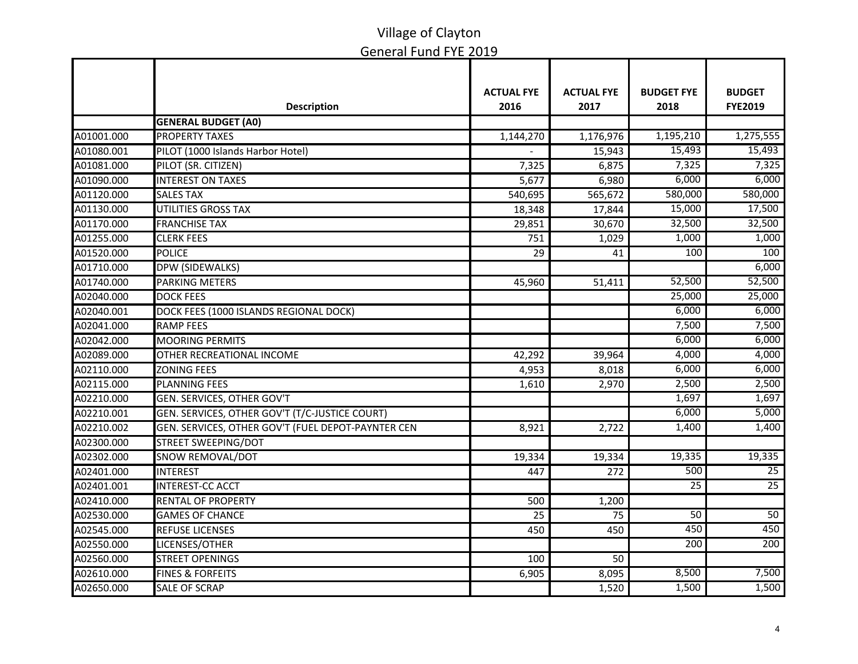|            | <b>Description</b>                                 | <b>ACTUAL FYE</b><br>2016 | <b>ACTUAL FYE</b><br>2017 | <b>BUDGET FYE</b><br>2018 | <b>BUDGET</b><br><b>FYE2019</b> |
|------------|----------------------------------------------------|---------------------------|---------------------------|---------------------------|---------------------------------|
|            | <b>GENERAL BUDGET (A0)</b>                         |                           |                           |                           |                                 |
| A01001.000 | <b>PROPERTY TAXES</b>                              | $\overline{1,}144,270$    | 1,176,976                 | 1,195,210                 | 1,275,555                       |
| A01080.001 | PILOT (1000 Islands Harbor Hotel)                  |                           | 15,943                    | 15,493                    | 15,493                          |
| A01081.000 | PILOT (SR. CITIZEN)                                | 7,325                     | 6,875                     | 7,325                     | 7,325                           |
| A01090.000 | <b>INTEREST ON TAXES</b>                           | 5,677                     | 6,980                     | 6,000                     | 6,000                           |
| A01120.000 | <b>SALES TAX</b>                                   | 540,695                   | 565,672                   | 580,000                   | 580,000                         |
| A01130.000 | <b>UTILITIES GROSS TAX</b>                         | 18,348                    | 17,844                    | 15,000                    | 17,500                          |
| A01170.000 | <b>FRANCHISE TAX</b>                               | 29,851                    | 30,670                    | 32,500                    | 32,500                          |
| A01255.000 | <b>CLERK FEES</b>                                  | 751                       | 1,029                     | 1,000                     | 1,000                           |
| A01520.000 | <b>POLICE</b>                                      | 29                        | 41                        | 100                       | 100                             |
| A01710.000 | DPW (SIDEWALKS)                                    |                           |                           |                           | 6,000                           |
| A01740.000 | <b>PARKING METERS</b>                              | 45,960                    | 51,411                    | 52,500                    | 52,500                          |
| A02040.000 | <b>DOCK FEES</b>                                   |                           |                           | 25,000                    | 25,000                          |
| A02040.001 | DOCK FEES (1000 ISLANDS REGIONAL DOCK)             |                           |                           | 6,000                     | 6,000                           |
| A02041.000 | <b>RAMP FEES</b>                                   |                           |                           | 7,500                     | 7,500                           |
| A02042.000 | <b>MOORING PERMITS</b>                             |                           |                           | 6,000                     | 6,000                           |
| A02089.000 | OTHER RECREATIONAL INCOME                          | 42,292                    | 39,964                    | 4,000                     | 4,000                           |
| A02110.000 | <b>ZONING FEES</b>                                 | 4,953                     | 8,018                     | 6,000                     | 6,000                           |
| A02115.000 | <b>PLANNING FEES</b>                               | 1,610                     | 2,970                     | 2,500                     | 2,500                           |
| A02210.000 | GEN. SERVICES, OTHER GOV'T                         |                           |                           | 1,697                     | 1,697                           |
| A02210.001 | GEN. SERVICES, OTHER GOV'T (T/C-JUSTICE COURT)     |                           |                           | 6,000                     | 5,000                           |
| A02210.002 | GEN. SERVICES, OTHER GOV'T (FUEL DEPOT-PAYNTER CEN | 8,921                     | 2,722                     | 1,400                     | 1,400                           |
| A02300.000 | STREET SWEEPING/DOT                                |                           |                           |                           |                                 |
| A02302.000 | SNOW REMOVAL/DOT                                   | 19,334                    | 19,334                    | 19,335                    | 19,335                          |
| A02401.000 | <b>INTEREST</b>                                    | 447                       | 272                       | 500                       | 25                              |
| A02401.001 | <b>INTEREST-CC ACCT</b>                            |                           |                           | $\overline{25}$           | 25                              |
| A02410.000 | <b>RENTAL OF PROPERTY</b>                          | 500                       | 1,200                     |                           |                                 |
| A02530.000 | <b>GAMES OF CHANCE</b>                             | 25                        | 75                        | 50                        | 50                              |
| A02545.000 | <b>REFUSE LICENSES</b>                             | 450                       | 450                       | 450                       | 450                             |
| A02550.000 | LICENSES/OTHER                                     |                           |                           | 200                       | 200                             |
| A02560.000 | <b>STREET OPENINGS</b>                             | 100                       | 50                        |                           |                                 |
| A02610.000 | <b>FINES &amp; FORFEITS</b>                        | 6,905                     | 8,095                     | 8,500                     | 7,500                           |
| A02650.000 | <b>SALE OF SCRAP</b>                               |                           | 1,520                     | 1,500                     | 1,500                           |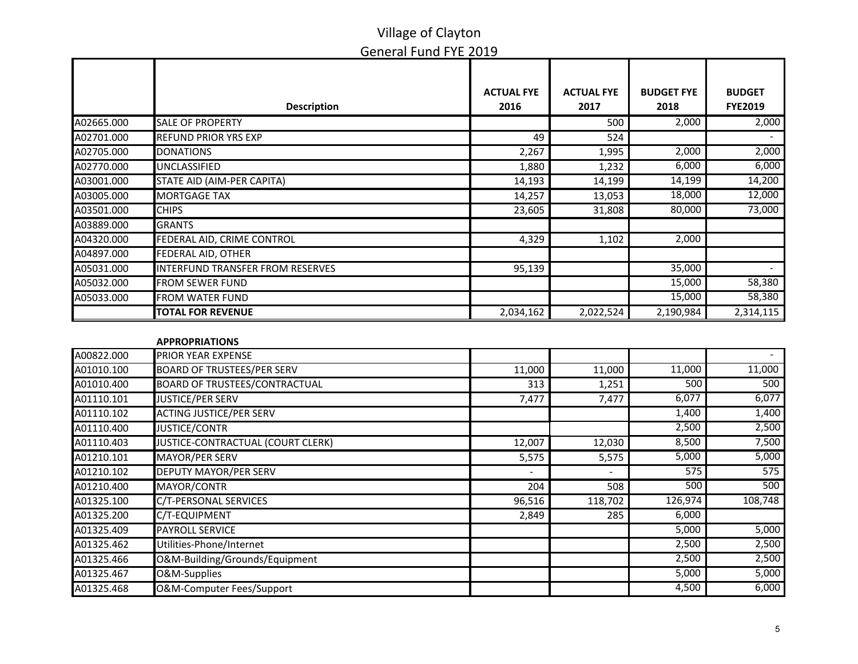|            | <b>Description</b>                      | <b>ACTUAL FYE</b><br>2016 | <b>ACTUAL FYE</b><br>2017 | <b>BUDGET FYE</b><br>2018 | <b>BUDGET</b><br><b>FYE2019</b> |
|------------|-----------------------------------------|---------------------------|---------------------------|---------------------------|---------------------------------|
| A02665.000 | <b>SALE OF PROPERTY</b>                 |                           | 500                       | 2,000                     | 2,000                           |
| A02701.000 | <b>REFUND PRIOR YRS EXP</b>             | 49                        | 524                       |                           |                                 |
| A02705.000 | <b>DONATIONS</b>                        | 2,267                     | 1,995                     | 2,000                     | 2,000                           |
| A02770.000 | <b>UNCLASSIFIED</b>                     | 1,880                     | 1,232                     | 6,000                     | 6,000                           |
| A03001.000 | STATE AID (AIM-PER CAPITA)              | 14,193                    | 14,199                    | 14,199                    | 14,200                          |
| A03005.000 | <b>MORTGAGE TAX</b>                     | 14,257                    | 13,053                    | 18,000                    | 12,000                          |
| A03501.000 | <b>CHIPS</b>                            | 23,605                    | 31,808                    | 80,000                    | 73,000                          |
| A03889.000 | <b>GRANTS</b>                           |                           |                           |                           |                                 |
| A04320.000 | FEDERAL AID, CRIME CONTROL              | 4,329                     | 1,102                     | 2,000                     |                                 |
| A04897.000 | <b>FEDERAL AID, OTHER</b>               |                           |                           |                           |                                 |
| A05031.000 | <b>INTERFUND TRANSFER FROM RESERVES</b> | 95,139                    |                           | 35,000                    |                                 |
| A05032.000 | <b>FROM SEWER FUND</b>                  |                           |                           | 15,000                    | 58,380                          |
| A05033.000 | <b>FROM WATER FUND</b>                  |                           |                           | 15,000                    | 58,380                          |
|            | <b>TOTAL FOR REVENUE</b>                | 2,034,162                 | 2,022,524                 | 2,190,984                 | 2,314,115                       |
|            |                                         |                           |                           |                           |                                 |
|            | <b>APPROPRIATIONS</b>                   |                           |                           |                           |                                 |
| A00822.000 | PRIOR YEAR EXPENSE                      |                           |                           |                           |                                 |
| A01010.100 | <b>BOARD OF TRUSTEES/PER SERV</b>       | 11,000                    | 11,000                    | 11,000                    | 11,000                          |
| A01010.400 | <b>BOARD OF TRUSTEES/CONTRACTUAL</b>    | 313                       | 1,251                     | 500                       | 500                             |
| A01110.101 | <b>JUSTICE/PER SERV</b>                 | 7,477                     | 7,477                     | 6,077                     | 6,077                           |
| A01110.102 | <b>ACTING JUSTICE/PER SERV</b>          |                           |                           | 1,400                     | 1,400                           |
| A01110.400 | <b>JUSTICE/CONTR</b>                    |                           |                           | 2,500                     | 2,500                           |
| A01110.403 | JUSTICE-CONTRACTUAL (COURT CLERK)       | 12,007                    | 12,030                    | 8,500                     | 7,500                           |
| A01210.101 | <b>MAYOR/PER SERV</b>                   | 5,575                     | 5,575                     | 5,000                     | 5,000                           |
| A01210.102 | <b>DEPUTY MAYOR/PER SERV</b>            |                           |                           | $\overline{575}$          | 575                             |
| A01210.400 | MAYOR/CONTR                             | 204                       | 508                       | 500                       | 500                             |
| A01325.100 | C/T-PERSONAL SERVICES                   | 96,516                    | 118,702                   | 126,974                   | 108,748                         |
| A01325.200 | C/T-EQUIPMENT                           | 2,849                     | 285                       | 6,000                     |                                 |
| A01325.409 | <b>PAYROLL SERVICE</b>                  |                           |                           | 5,000                     | 5,000                           |
| A01325.462 | Utilities-Phone/Internet                |                           |                           | 2,500                     | 2,500                           |
| A01325.466 | O&M-Building/Grounds/Equipment          |                           |                           | 2,500                     | 2,500                           |
| A01325.467 | O&M-Supplies                            |                           |                           | 5,000                     | 5,000                           |
| A01325.468 | O&M-Computer Fees/Support               |                           |                           | 4,500                     | 6,000                           |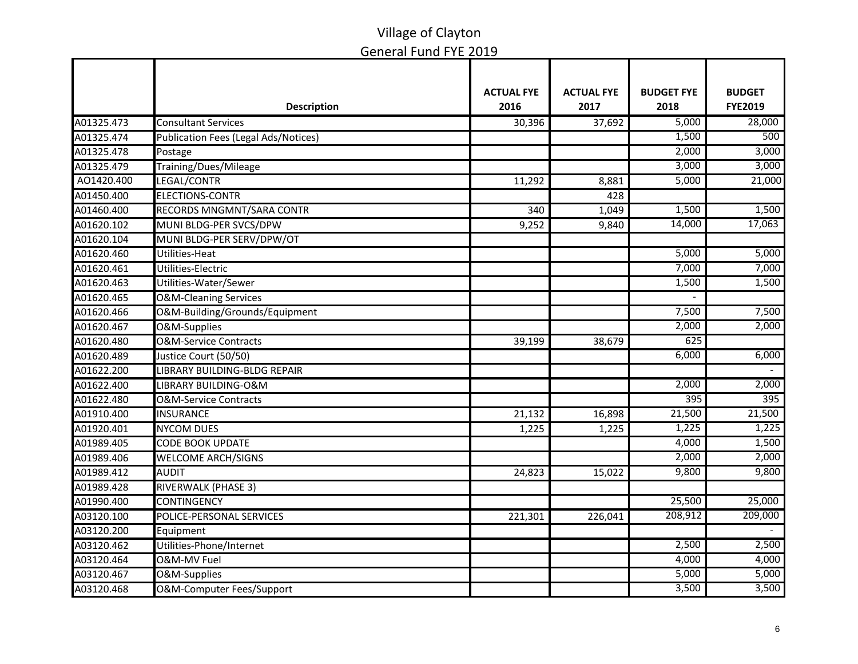|            |                                      | <b>ACTUAL FYE</b> | <b>ACTUAL FYE</b> | <b>BUDGET FYE</b> | <b>BUDGET</b>  |
|------------|--------------------------------------|-------------------|-------------------|-------------------|----------------|
|            | <b>Description</b>                   | 2016              | 2017              | 2018              | <b>FYE2019</b> |
| A01325.473 | <b>Consultant Services</b>           | 30,396            | 37,692            | 5,000             | 28,000         |
| A01325.474 | Publication Fees (Legal Ads/Notices) |                   |                   | 1,500             | 500            |
| A01325.478 | Postage                              |                   |                   | 2,000             | 3,000          |
| A01325.479 | Training/Dues/Mileage                |                   |                   | 3,000             | 3,000          |
| AO1420.400 | LEGAL/CONTR                          | 11,292            | 8,881             | 5,000             | 21,000         |
| A01450.400 | <b>ELECTIONS-CONTR</b>               |                   | 428               |                   |                |
| A01460.400 | RECORDS MNGMNT/SARA CONTR            | 340               | 1,049             | 1,500             | 1,500          |
| A01620.102 | MUNI BLDG-PER SVCS/DPW               | 9,252             | 9,840             | 14,000            | 17,063         |
| A01620.104 | MUNI BLDG-PER SERV/DPW/OT            |                   |                   |                   |                |
| A01620.460 | Utilities-Heat                       |                   |                   | 5,000             | 5,000          |
| A01620.461 | Utilities-Electric                   |                   |                   | 7,000             | 7,000          |
| A01620.463 | Utilities-Water/Sewer                |                   |                   | 1,500             | 1,500          |
| A01620.465 | <b>O&amp;M-Cleaning Services</b>     |                   |                   |                   |                |
| A01620.466 | O&M-Building/Grounds/Equipment       |                   |                   | 7,500             | 7,500          |
| A01620.467 | O&M-Supplies                         |                   |                   | 2,000             | 2,000          |
| A01620.480 | <b>O&amp;M-Service Contracts</b>     | 39,199            | 38,679            | 625               |                |
| A01620.489 | Justice Court (50/50)                |                   |                   | 6,000             | 6,000          |
| A01622.200 | LIBRARY BUILDING-BLDG REPAIR         |                   |                   |                   |                |
| A01622.400 | LIBRARY BUILDING-O&M                 |                   |                   | 2,000             | 2,000          |
| A01622.480 | <b>O&amp;M-Service Contracts</b>     |                   |                   | 395               | 395            |
| A01910.400 | <b>INSURANCE</b>                     | 21,132            | 16,898            | 21,500            | 21,500         |
| A01920.401 | <b>NYCOM DUES</b>                    | 1,225             | 1,225             | 1,225             | 1,225          |
| A01989.405 | <b>CODE BOOK UPDATE</b>              |                   |                   | 4,000             | 1,500          |
| A01989.406 | <b>WELCOME ARCH/SIGNS</b>            |                   |                   | 2,000             | 2,000          |
| A01989.412 | <b>AUDIT</b>                         | 24,823            | 15,022            | 9,800             | 9,800          |
| A01989.428 | <b>RIVERWALK (PHASE 3)</b>           |                   |                   |                   |                |
| A01990.400 | <b>CONTINGENCY</b>                   |                   |                   | 25,500            | 25,000         |
| A03120.100 | POLICE-PERSONAL SERVICES             | 221,301           | 226,041           | 208,912           | 209,000        |
| A03120.200 | Equipment                            |                   |                   |                   |                |
| A03120.462 | Utilities-Phone/Internet             |                   |                   | 2,500             | 2,500          |
| A03120.464 | <b>O&amp;M-MV Fuel</b>               |                   |                   | 4,000             | 4,000          |
| A03120.467 | O&M-Supplies                         |                   |                   | 5,000             | 5,000          |
| A03120.468 | O&M-Computer Fees/Support            |                   |                   | 3,500             | 3,500          |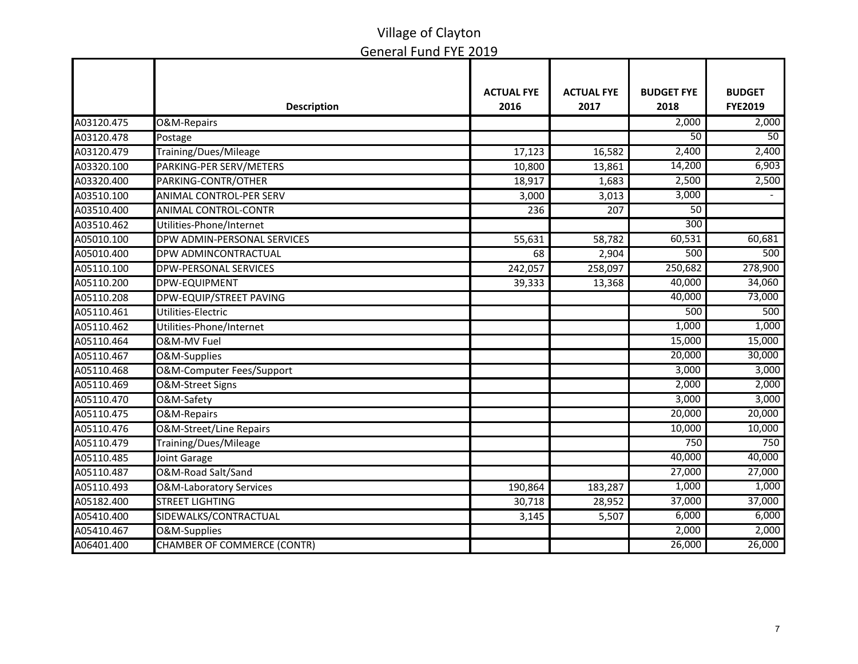|            |                                    | <b>ACTUAL FYE</b> | <b>ACTUAL FYE</b> | <b>BUDGET FYE</b> | <b>BUDGET</b>  |
|------------|------------------------------------|-------------------|-------------------|-------------------|----------------|
|            | <b>Description</b>                 | 2016              | 2017              | 2018              | <b>FYE2019</b> |
| A03120.475 | O&M-Repairs                        |                   |                   | 2,000             | 2,000          |
| A03120.478 | Postage                            |                   |                   | $\overline{50}$   | 50             |
| A03120.479 | Training/Dues/Mileage              | 17,123            | 16,582            | 2,400             | 2,400          |
| A03320.100 | PARKING-PER SERV/METERS            | 10,800            | 13,861            | 14,200            | 6,903          |
| A03320.400 | PARKING-CONTR/OTHER                | 18,917            | 1,683             | 2,500             | 2,500          |
| A03510.100 | <b>ANIMAL CONTROL-PER SERV</b>     | 3,000             | 3,013             | 3,000             |                |
| A03510.400 | <b>ANIMAL CONTROL-CONTR</b>        | 236               | 207               | $\overline{50}$   |                |
| A03510.462 | Utilities-Phone/Internet           |                   |                   | 300               |                |
| A05010.100 | DPW ADMIN-PERSONAL SERVICES        | 55,631            | 58,782            | 60,531            | 60,681         |
| A05010.400 | DPW ADMINCONTRACTUAL               | 68                | 2,904             | 500               | 500            |
| A05110.100 | <b>DPW-PERSONAL SERVICES</b>       | 242,057           | 258,097           | 250,682           | 278,900        |
| A05110.200 | <b>DPW-EQUIPMENT</b>               | 39,333            | 13,368            | 40,000            | 34,060         |
| A05110.208 | <b>DPW-EQUIP/STREET PAVING</b>     |                   |                   | 40,000            | 73,000         |
| A05110.461 | Utilities-Electric                 |                   |                   | 500               | 500            |
| A05110.462 | Utilities-Phone/Internet           |                   |                   | 1,000             | 1,000          |
| A05110.464 | O&M-MV Fuel                        |                   |                   | 15,000            | 15,000         |
| A05110.467 | O&M-Supplies                       |                   |                   | 20,000            | 30,000         |
| A05110.468 | O&M-Computer Fees/Support          |                   |                   | 3,000             | 3,000          |
| A05110.469 | O&M-Street Signs                   |                   |                   | 2,000             | 2,000          |
| A05110.470 | O&M-Safety                         |                   |                   | 3,000             | 3,000          |
| A05110.475 | <b>O&amp;M-Repairs</b>             |                   |                   | 20,000            | 20,000         |
| A05110.476 | <b>O&amp;M-Street/Line Repairs</b> |                   |                   | 10,000            | 10,000         |
| A05110.479 | Training/Dues/Mileage              |                   |                   | 750               | 750            |
| A05110.485 | Joint Garage                       |                   |                   | 40,000            | 40,000         |
| A05110.487 | O&M-Road Salt/Sand                 |                   |                   | 27,000            | 27,000         |
| A05110.493 | <b>O&amp;M-Laboratory Services</b> | 190,864           | 183,287           | 1,000             | 1,000          |
| A05182.400 | <b>STREET LIGHTING</b>             | 30,718            | 28,952            | 37,000            | 37,000         |
| A05410.400 | SIDEWALKS/CONTRACTUAL              | 3,145             | 5,507             | 6,000             | 6,000          |
| A05410.467 | O&M-Supplies                       |                   |                   | 2,000             | 2,000          |
| A06401.400 | CHAMBER OF COMMERCE (CONTR)        |                   |                   | 26,000            | 26,000         |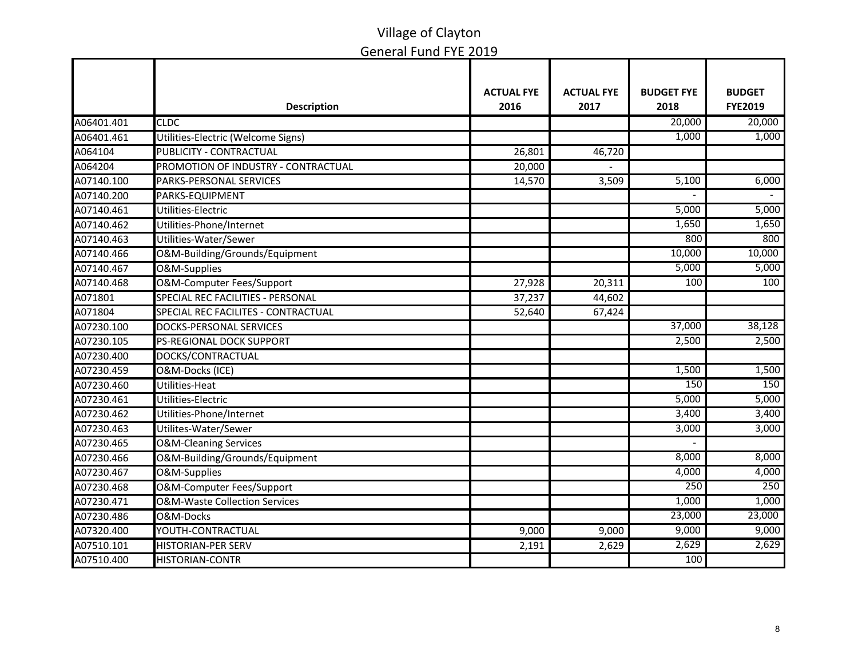|            |                                          | <b>ACTUAL FYE</b> | <b>ACTUAL FYE</b> | <b>BUDGET FYE</b> | <b>BUDGET</b>  |
|------------|------------------------------------------|-------------------|-------------------|-------------------|----------------|
|            | <b>Description</b>                       | 2016              | 2017              | 2018              | <b>FYE2019</b> |
| A06401.401 | <b>CLDC</b>                              |                   |                   | 20,000            | 20,000         |
| A06401.461 | Utilities-Electric (Welcome Signs)       |                   |                   | 1,000             | 1,000          |
| A064104    | PUBLICITY - CONTRACTUAL                  | 26,801            | 46,720            |                   |                |
| A064204    | PROMOTION OF INDUSTRY - CONTRACTUAL      | 20,000            |                   |                   |                |
| A07140.100 | <b>PARKS-PERSONAL SERVICES</b>           | 14,570            | 3,509             | 5,100             | 6,000          |
| A07140.200 | PARKS-EQUIPMENT                          |                   |                   |                   |                |
| A07140.461 | Utilities-Electric                       |                   |                   | 5,000             | 5,000          |
| A07140.462 | Utilities-Phone/Internet                 |                   |                   | 1,650             | 1,650          |
| A07140.463 | Utilities-Water/Sewer                    |                   |                   | 800               | 800            |
| A07140.466 | O&M-Building/Grounds/Equipment           |                   |                   | 10,000            | 10,000         |
| A07140.467 | O&M-Supplies                             |                   |                   | 5,000             | 5,000          |
| A07140.468 | O&M-Computer Fees/Support                | 27,928            | 20,311            | $\overline{100}$  | 100            |
| A071801    | SPECIAL REC FACILITIES - PERSONAL        | 37,237            | 44,602            |                   |                |
| A071804    | SPECIAL REC FACILITES - CONTRACTUAL      | 52,640            | 67,424            |                   |                |
| A07230.100 | <b>DOCKS-PERSONAL SERVICES</b>           |                   |                   | 37,000            | 38,128         |
| A07230.105 | <b>PS-REGIONAL DOCK SUPPORT</b>          |                   |                   | 2,500             | 2,500          |
| A07230.400 | DOCKS/CONTRACTUAL                        |                   |                   |                   |                |
| A07230.459 | O&M-Docks (ICE)                          |                   |                   | 1,500             | 1,500          |
| A07230.460 | Utilities-Heat                           |                   |                   | 150               | 150            |
| A07230.461 | Utilities-Electric                       |                   |                   | 5,000             | 5,000          |
| A07230.462 | Utilities-Phone/Internet                 |                   |                   | 3,400             | 3,400          |
| A07230.463 | Utilites-Water/Sewer                     |                   |                   | 3,000             | 3,000          |
| A07230.465 | <b>O&amp;M-Cleaning Services</b>         |                   |                   |                   |                |
| A07230.466 | O&M-Building/Grounds/Equipment           |                   |                   | 8,000             | 8,000          |
| A07230.467 | O&M-Supplies                             |                   |                   | 4,000             | 4,000          |
| A07230.468 | O&M-Computer Fees/Support                |                   |                   | 250               | 250            |
| A07230.471 | <b>O&amp;M-Waste Collection Services</b> |                   |                   | 1,000             | 1,000          |
| A07230.486 | O&M-Docks                                |                   |                   | 23,000            | 23,000         |
| A07320.400 | YOUTH-CONTRACTUAL                        | 9,000             | 9,000             | 9,000             | 9,000          |
| A07510.101 | <b>HISTORIAN-PER SERV</b>                | 2,191             | 2,629             | 2,629             | 2,629          |
| A07510.400 | <b>HISTORIAN-CONTR</b>                   |                   |                   | 100               |                |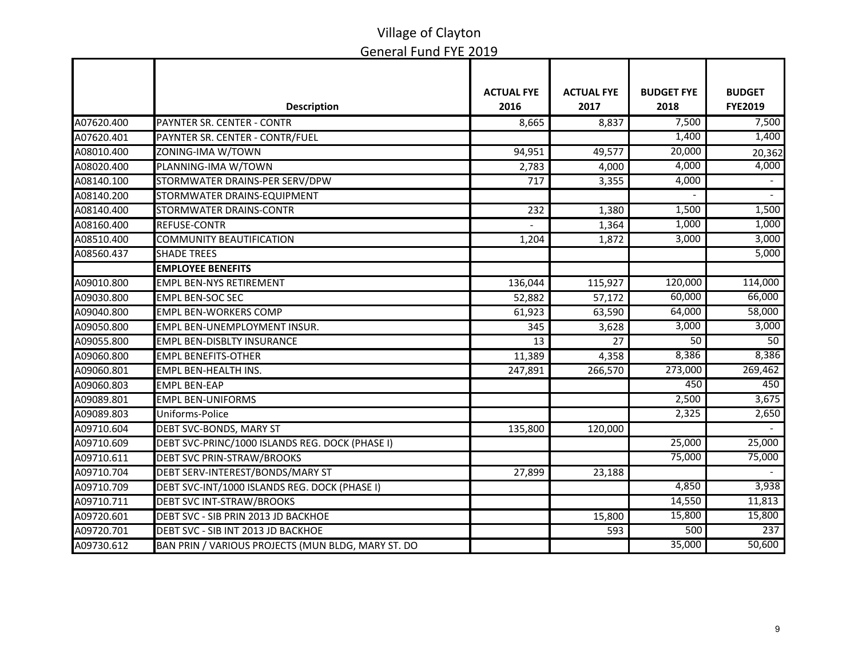|            |                                                    | <b>ACTUAL FYE</b> | <b>ACTUAL FYE</b> | <b>BUDGET FYE</b> | <b>BUDGET</b>  |
|------------|----------------------------------------------------|-------------------|-------------------|-------------------|----------------|
|            | <b>Description</b>                                 | 2016              | 2017              | 2018              | <b>FYE2019</b> |
| A07620.400 | PAYNTER SR. CENTER - CONTR                         | 8,665             | 8,837             | 7,500             | 7,500          |
| A07620.401 | PAYNTER SR. CENTER - CONTR/FUEL                    |                   |                   | 1,400             | 1,400          |
| A08010.400 | ZONING-IMA W/TOWN                                  | 94,951            | 49,577            | 20,000            | 20,362         |
| A08020.400 | PLANNING-IMA W/TOWN                                | 2,783             | 4,000             | 4,000             | 4,000          |
| A08140.100 | STORMWATER DRAINS-PER SERV/DPW                     | 717               | 3,355             | 4,000             |                |
| A08140.200 | STORMWATER DRAINS-EQUIPMENT                        |                   |                   |                   | $\sim$         |
| A08140.400 | <b>STORMWATER DRAINS-CONTR</b>                     | 232               | 1,380             | 1,500             | 1,500          |
| A08160.400 | REFUSE-CONTR                                       |                   | 1,364             | 1,000             | 1,000          |
| A08510.400 | <b>COMMUNITY BEAUTIFICATION</b>                    | 1,204             | 1,872             | 3,000             | 3,000          |
| A08560.437 | <b>SHADE TREES</b>                                 |                   |                   |                   | 5,000          |
|            | <b>EMPLOYEE BENEFITS</b>                           |                   |                   |                   |                |
| A09010.800 | <b>EMPL BEN-NYS RETIREMENT</b>                     | 136,044           | 115,927           | 120,000           | 114,000        |
| A09030.800 | <b>EMPL BEN-SOC SEC</b>                            | 52,882            | 57,172            | 60,000            | 66,000         |
| A09040.800 | <b>EMPL BEN-WORKERS COMP</b>                       | 61,923            | 63,590            | 64,000            | 58,000         |
| A09050.800 | EMPL BEN-UNEMPLOYMENT INSUR.                       | 345               | 3,628             | 3,000             | 3,000          |
| A09055.800 | <b>EMPL BEN-DISBLTY INSURANCE</b>                  | 13                | 27                | 50                | 50             |
| A09060.800 | <b>EMPL BENEFITS-OTHER</b>                         | 11,389            | 4,358             | 8,386             | 8,386          |
| A09060.801 | <b>EMPL BEN-HEALTH INS.</b>                        | 247,891           | 266,570           | 273,000           | 269,462        |
| A09060.803 | <b>EMPL BEN-EAP</b>                                |                   |                   | 450               | 450            |
| A09089.801 | <b>EMPL BEN-UNIFORMS</b>                           |                   |                   | 2,500             | 3,675          |
| A09089.803 | Uniforms-Police                                    |                   |                   | 2,325             | 2,650          |
| A09710.604 | <b>DEBT SVC-BONDS, MARY ST</b>                     | 135,800           | 120,000           |                   |                |
| A09710.609 | DEBT SVC-PRINC/1000 ISLANDS REG. DOCK (PHASE I)    |                   |                   | 25,000            | 25,000         |
| A09710.611 | <b>DEBT SVC PRIN-STRAW/BROOKS</b>                  |                   |                   | 75,000            | 75,000         |
| A09710.704 | DEBT SERV-INTEREST/BONDS/MARY ST                   | 27,899            | 23,188            |                   |                |
| A09710.709 | DEBT SVC-INT/1000 ISLANDS REG. DOCK (PHASE I)      |                   |                   | 4,850             | 3,938          |
| A09710.711 | <b>DEBT SVC INT-STRAW/BROOKS</b>                   |                   |                   | 14,550            | 11,813         |
| A09720.601 | DEBT SVC - SIB PRIN 2013 JD BACKHOE                |                   | 15,800            | 15,800            | 15,800         |
| A09720.701 | DEBT SVC - SIB INT 2013 JD BACKHOE                 |                   | 593               | 500               | 237            |
| A09730.612 | BAN PRIN / VARIOUS PROJECTS (MUN BLDG, MARY ST. DO |                   |                   | 35,000            | 50,600         |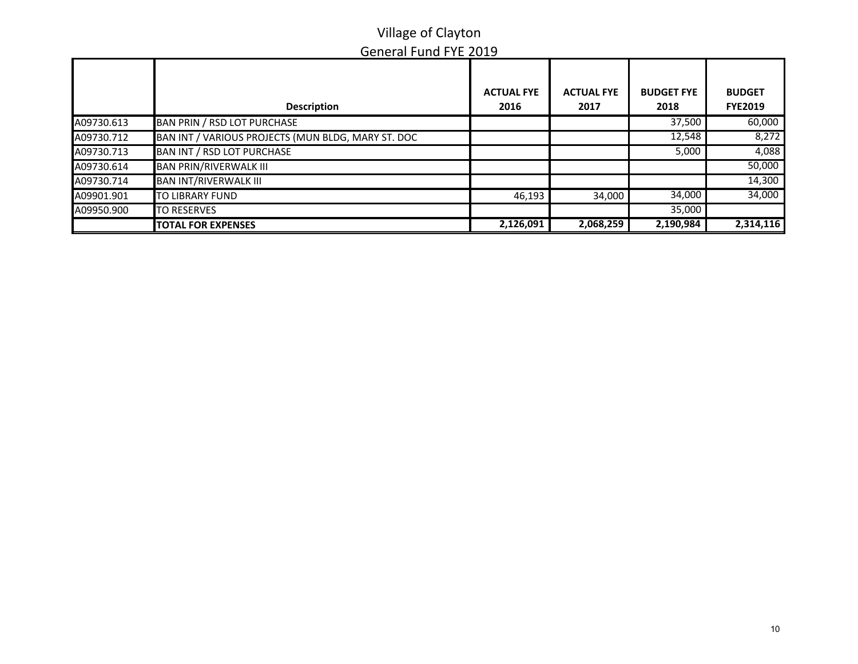|            | <b>Description</b>                                 | <b>ACTUAL FYE</b><br>2016 | <b>ACTUAL FYE</b><br>2017 | <b>BUDGET FYE</b><br>2018 | <b>BUDGET</b><br><b>FYE2019</b> |
|------------|----------------------------------------------------|---------------------------|---------------------------|---------------------------|---------------------------------|
| A09730.613 | BAN PRIN / RSD LOT PURCHASE                        |                           |                           | 37,500                    | 60,000                          |
| A09730.712 | BAN INT / VARIOUS PROJECTS (MUN BLDG, MARY ST. DOC |                           |                           | 12,548                    | 8,272                           |
| A09730.713 | BAN INT / RSD LOT PURCHASE                         |                           |                           | 5,000                     | 4,088                           |
| A09730.614 | <b>BAN PRIN/RIVERWALK III</b>                      |                           |                           |                           | 50,000                          |
| A09730.714 | <b>BAN INT/RIVERWALK III</b>                       |                           |                           |                           | 14,300                          |
| A09901.901 | <b>TO LIBRARY FUND</b>                             | 46,193                    | 34,000                    | 34,000                    | 34,000                          |
| A09950.900 | <b>TO RESERVES</b>                                 |                           |                           | 35,000                    |                                 |
|            | <b>TOTAL FOR EXPENSES</b>                          | 2,126,091                 | 2,068,259                 | 2,190,984                 | 2,314,116                       |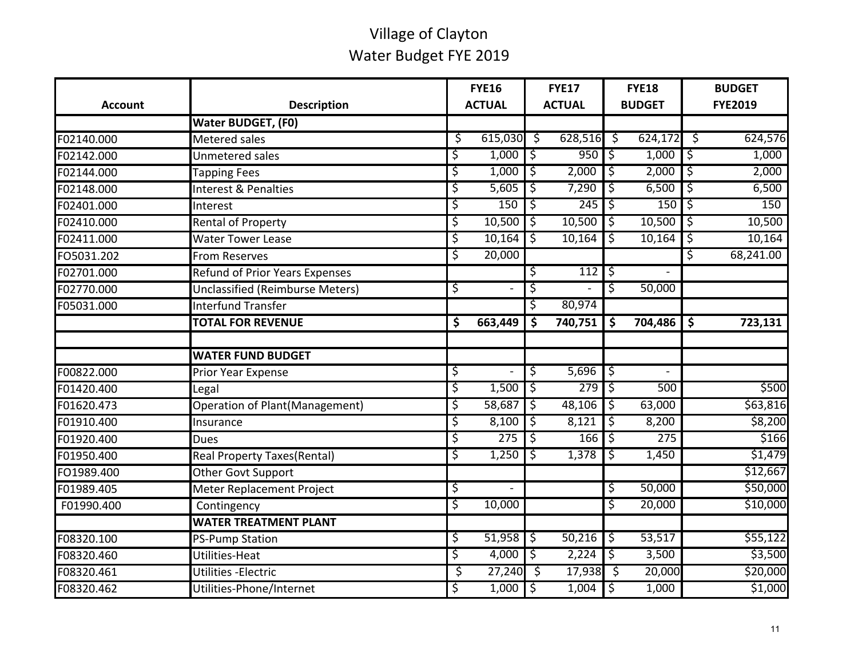| <b>Account</b> | <b>Description</b>                    | <b>FYE16</b><br><b>ACTUAL</b> |                          |             | <b>FYE17</b><br><b>ACTUAL</b> |                        | <b>FYE18</b><br><b>BUDGET</b> |                     | <b>BUDGET</b><br><b>FYE2019</b> |
|----------------|---------------------------------------|-------------------------------|--------------------------|-------------|-------------------------------|------------------------|-------------------------------|---------------------|---------------------------------|
|                | Water BUDGET, (F0)                    |                               |                          |             |                               |                        |                               |                     |                                 |
| F02140.000     | <b>Metered sales</b>                  | \$                            | 615,030                  | -\$         | 628,516                       | \$                     | 624,172                       | ें 5                | 624,576                         |
| F02142.000     | Unmetered sales                       | \$                            | 1,000                    | 5,          | 950                           | `\$                    | 1,000                         | ड़                  | 1,000                           |
| F02144.000     | <b>Tapping Fees</b>                   | \$                            | 1,000                    | T\$         | 2,000                         | ॱऽ                     | 2,000                         | ॱऽ                  | 2,000                           |
| F02148.000     | Interest & Penalties                  | \$                            | 5,605                    | ॱऽ          | 7,290                         | \$                     | 6,500                         | ड़                  | 6,500                           |
| F02401.000     | Interest                              | \$                            | 150                      | \$          | 245                           | \$                     | 150                           | `\$                 | 150                             |
| F02410.000     | <b>Rental of Property</b>             | \$                            | 10,500                   | \$          | 10,500                        | \$                     | 10,500                        | ॱड़                 | 10,500                          |
| F02411.000     | <b>Water Tower Lease</b>              | \$                            | 10,164                   | Ś           | 10,164                        | \$                     | 10,164                        | \$                  | 10,164                          |
| FO5031.202     | <b>From Reserves</b>                  | \$                            | 20,000                   |             |                               |                        |                               | \$                  | 68,241.00                       |
| F02701.000     | <b>Refund of Prior Years Expenses</b> |                               |                          | \$          | 112                           | \$                     |                               |                     |                                 |
| F02770.000     | Unclassified (Reimburse Meters)       | \$                            | $\overline{\phantom{a}}$ | \$          |                               | \$                     | 50,000                        |                     |                                 |
| F05031.000     | <b>Interfund Transfer</b>             |                               |                          | \$          | 80,974                        |                        |                               |                     |                                 |
|                | <b>TOTAL FOR REVENUE</b>              | \$                            | 663,449                  | \$          | 740,751                       | \$                     | 704,486                       | $\ddot{\bm{\zeta}}$ | 723,131                         |
|                |                                       |                               |                          |             |                               |                        |                               |                     |                                 |
|                | <b>WATER FUND BUDGET</b>              |                               |                          |             |                               |                        |                               |                     |                                 |
| F00822.000     | Prior Year Expense                    | \$                            |                          | \$          | 5,696                         | $\overline{\varsigma}$ |                               |                     |                                 |
| F01420.400     | Legal                                 | \$                            | 1,500                    | <u>ا ئ</u>  | 279                           | ें इ                   | 500                           |                     | \$500                           |
| F01620.473     | Operation of Plant(Management)        | \$                            | 58,687                   | \$          | 48,106                        | `\$                    | 63,000                        |                     | \$63,816                        |
| F01910.400     | Insurance                             | \$                            | 8,100                    | Ś           | 8,121                         | \$                     | 8,200                         |                     | \$8,200                         |
| F01920.400     | <b>Dues</b>                           | \$                            | 275                      | ड़          | 166                           | ॱऽ                     | 275                           |                     | \$166                           |
| F01950.400     | <b>Real Property Taxes(Rental)</b>    | \$                            | 1,250                    | \$          | 1,378                         | \$                     | 1,450                         |                     | \$1,479                         |
| FO1989.400     | Other Govt Support                    |                               |                          |             |                               |                        |                               |                     | \$12,667                        |
| F01989.405     | Meter Replacement Project             | \$                            |                          |             |                               | \$                     | 50,000                        |                     | \$50,000                        |
| F01990.400     | Contingency                           | \$                            | 10,000                   |             |                               | \$                     | 20,000                        |                     | \$10,000                        |
|                | <b>WATER TREATMENT PLANT</b>          |                               |                          |             |                               |                        |                               |                     |                                 |
| F08320.100     | <b>PS-Pump Station</b>                | \$                            | 51,958                   | T\$         | 50,216                        | `\$                    | 53,517                        |                     | \$55,122                        |
| F08320.460     | Utilities-Heat                        | \$                            | 4,000                    | $\varsigma$ | 2,224                         | ς                      | 3,500                         |                     | \$3,500                         |
| F08320.461     | Utilities - Electric                  | \$                            | 27,240                   | ॱऽ          | 17,938                        | ें 5                   | 20,000                        |                     | \$20,000                        |
| F08320.462     | Utilities-Phone/Internet              | \$                            | 1,000                    | ٦\$         | 1,004                         | ऽ                      | 1,000                         |                     | \$1,000                         |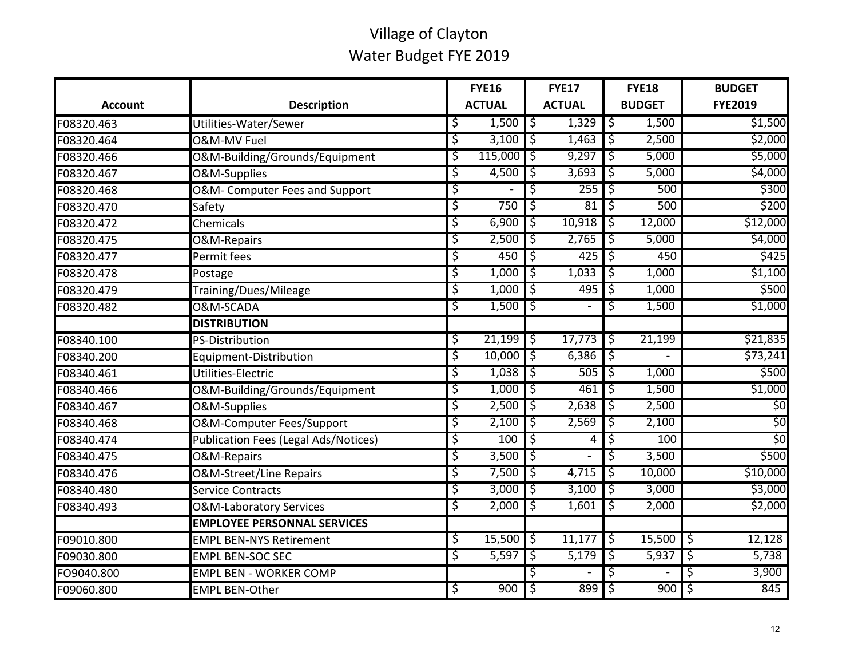|                |                                             |    | <b>FYE16</b>  |                 | <b>FYE17</b>  |                 |               |         |                |  |  |  |  |  |  |  |  |  |  |  |  |  | <b>FYE18</b> |  | <b>BUDGET</b> |
|----------------|---------------------------------------------|----|---------------|-----------------|---------------|-----------------|---------------|---------|----------------|--|--|--|--|--|--|--|--|--|--|--|--|--|--------------|--|---------------|
| <b>Account</b> | <b>Description</b>                          |    | <b>ACTUAL</b> |                 | <b>ACTUAL</b> |                 | <b>BUDGET</b> |         | <b>FYE2019</b> |  |  |  |  |  |  |  |  |  |  |  |  |  |              |  |               |
| F08320.463     | Utilities-Water/Sewer                       | \$ | 1,500         | $\overline{15}$ | 1,329         | $\overline{15}$ | 1,500         |         | \$1,500        |  |  |  |  |  |  |  |  |  |  |  |  |  |              |  |               |
| F08320.464     | O&M-MV Fuel                                 | ऽ  | 3,100         | \$              | 1,463         | \$              | 2,500         |         | \$2,000        |  |  |  |  |  |  |  |  |  |  |  |  |  |              |  |               |
| F08320.466     | O&M-Building/Grounds/Equipment              | ऽ  | 115,000       | \$              | 9,297         | \$              | 5,000         |         | \$5,000        |  |  |  |  |  |  |  |  |  |  |  |  |  |              |  |               |
| F08320.467     | <b>O&amp;M-Supplies</b>                     | \$ | 4,500         | \$              | 3,693         | \$              | 5,000         |         | \$4,000        |  |  |  |  |  |  |  |  |  |  |  |  |  |              |  |               |
| F08320.468     | O&M-Computer Fees and Support               | \$ |               | \$              | 255           | \$              | 500           |         | \$300          |  |  |  |  |  |  |  |  |  |  |  |  |  |              |  |               |
| F08320.470     | Safety                                      | \$ | 750           | \$              | 81            | \$              | 500           |         | \$200          |  |  |  |  |  |  |  |  |  |  |  |  |  |              |  |               |
| F08320.472     | Chemicals                                   | \$ | 6,900         | \$              | 10,918        | \$              | 12,000        |         | \$12,000       |  |  |  |  |  |  |  |  |  |  |  |  |  |              |  |               |
| F08320.475     | O&M-Repairs                                 | \$ | 2,500         | \$              | 2,765         | \$              | 5,000         |         | \$4,000        |  |  |  |  |  |  |  |  |  |  |  |  |  |              |  |               |
| F08320.477     | Permit fees                                 | \$ | 450           | T\$             | $425$ \$      |                 | 450           |         | \$425          |  |  |  |  |  |  |  |  |  |  |  |  |  |              |  |               |
| F08320.478     | Postage                                     | \$ | 1,000         | 1\$             | 1,033         | 1\$             | 1,000         | \$1,100 |                |  |  |  |  |  |  |  |  |  |  |  |  |  |              |  |               |
| F08320.479     | Training/Dues/Mileage                       | \$ | 1,000         | T\$             | 495           | \$              | 1,000         |         | \$500          |  |  |  |  |  |  |  |  |  |  |  |  |  |              |  |               |
| F08320.482     | <b>O&amp;M-SCADA</b>                        | ड़ | 1,500         | \$              |               | \$              | 1,500         |         | \$1,000        |  |  |  |  |  |  |  |  |  |  |  |  |  |              |  |               |
|                | <b>DISTRIBUTION</b>                         |    |               |                 |               |                 |               |         |                |  |  |  |  |  |  |  |  |  |  |  |  |  |              |  |               |
| F08340.100     | PS-Distribution                             | \$ | $21,199$ \$   |                 | $17,773$ \$   |                 | 21,199        |         | \$21,835       |  |  |  |  |  |  |  |  |  |  |  |  |  |              |  |               |
| F08340.200     | Equipment-Distribution                      | \$ | $10,000$ \$   |                 | 6,386         | \$              |               |         | \$73,241       |  |  |  |  |  |  |  |  |  |  |  |  |  |              |  |               |
| F08340.461     | Utilities-Electric                          | \$ | $1,038$   \$  |                 | 505           | ς               | 1,000         |         | \$500          |  |  |  |  |  |  |  |  |  |  |  |  |  |              |  |               |
| F08340.466     | O&M-Building/Grounds/Equipment              | \$ | 1,000         | \$              | 461           | \$              | 1,500         |         | \$1,000        |  |  |  |  |  |  |  |  |  |  |  |  |  |              |  |               |
| F08340.467     | O&M-Supplies                                | \$ | 2,500         | T\$             | 2,638         | \$              | 2,500         |         | 50             |  |  |  |  |  |  |  |  |  |  |  |  |  |              |  |               |
| F08340.468     | O&M-Computer Fees/Support                   | \$ | 2,100         | T\$             | 2,569         | ى:              | 2,100         |         | \$0            |  |  |  |  |  |  |  |  |  |  |  |  |  |              |  |               |
| F08340.474     | <b>Publication Fees (Legal Ads/Notices)</b> | \$ | 100           | ड़              | 4             | \$              | 100           |         | \$0            |  |  |  |  |  |  |  |  |  |  |  |  |  |              |  |               |
| F08340.475     | <b>O&amp;M-Repairs</b>                      | \$ | 3,500         | ς               |               | \$              | 3,500         |         | \$500          |  |  |  |  |  |  |  |  |  |  |  |  |  |              |  |               |
| F08340.476     | <b>O&amp;M-Street/Line Repairs</b>          | \$ | 7,500         | T\$             | 4,715         | `\$             | 10,000        |         | \$10,000       |  |  |  |  |  |  |  |  |  |  |  |  |  |              |  |               |
| F08340.480     | <b>Service Contracts</b>                    | \$ | $3,000$ \$    |                 | 3,100         | T\$             | 3,000         |         | \$3,000        |  |  |  |  |  |  |  |  |  |  |  |  |  |              |  |               |
| F08340.493     | <b>O&amp;M-Laboratory Services</b>          | \$ | 2,000         | \$              | 1,601         | \$              | 2,000         |         | \$2,000        |  |  |  |  |  |  |  |  |  |  |  |  |  |              |  |               |
|                | <b>EMPLOYEE PERSONNAL SERVICES</b>          |    |               |                 |               |                 |               |         |                |  |  |  |  |  |  |  |  |  |  |  |  |  |              |  |               |
| F09010.800     | <b>EMPL BEN-NYS Retirement</b>              | \$ | $15,500$ \$   |                 | $11,177$ \$   |                 | $15,500$ \$   |         | 12,128         |  |  |  |  |  |  |  |  |  |  |  |  |  |              |  |               |
| F09030.800     | <b>EMPL BEN-SOC SEC</b>                     | ऽ  | 5,597         | ऽ               | 5,179         | \$              | 5,937         | ऽ       | 5,738          |  |  |  |  |  |  |  |  |  |  |  |  |  |              |  |               |
| FO9040.800     | <b>EMPL BEN - WORKER COMP</b>               |    |               | \$              |               | \$              |               | \$      | 3,900          |  |  |  |  |  |  |  |  |  |  |  |  |  |              |  |               |
| F09060.800     | <b>EMPL BEN-Other</b>                       | \$ | 900           | \$              | 899           | \$              | 900           | \$      | 845            |  |  |  |  |  |  |  |  |  |  |  |  |  |              |  |               |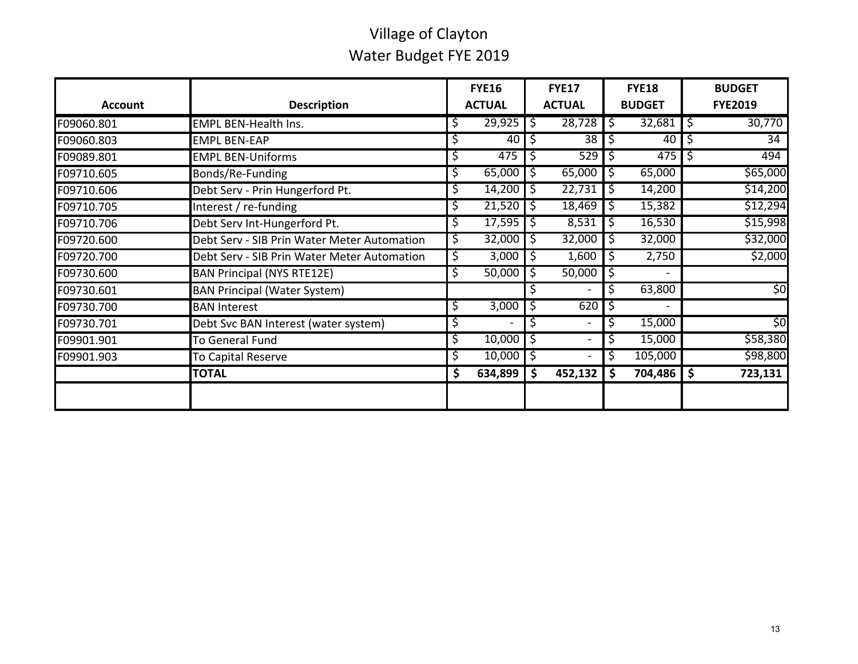| <b>Account</b> | <b>Description</b>                          |     | <b>FYE16</b><br><b>ACTUAL</b> | <b>FYE17</b><br><b>ACTUAL</b> |                              |         | <b>FYE18</b><br><b>BUDGET</b> |    | <b>BUDGET</b><br><b>FYE2019</b> |
|----------------|---------------------------------------------|-----|-------------------------------|-------------------------------|------------------------------|---------|-------------------------------|----|---------------------------------|
| F09060.801     | <b>EMPL BEN-Health Ins.</b>                 | \$  | $29,925$ $\frac{1}{2}$        |                               | $28,728$ \$                  |         | $32,681$   \$                 |    | 30,770                          |
| F09060.803     | <b>EMPL BEN-EAP</b>                         | Ş   | 40                            | \$                            | 38                           | \$      | 40                            | \$ | 34                              |
| F09089.801     | <b>EMPL BEN-Uniforms</b>                    | \$  | 475                           | \$,                           | 529                          | \$,     | 475                           | -S | 494                             |
| F09710.605     | Bonds/Re-Funding                            | \$  | 65,000                        | \$,                           | 65,000                       | \$,     | 65,000                        |    | \$65,000                        |
| F09710.606     | Debt Serv - Prin Hungerford Pt.             | Ş.  | 14,200                        | \$.                           | 22,731                       | \$.     | 14,200                        |    | \$14,200                        |
| F09710.705     | Interest / re-funding                       | Ş   | 21,520                        | \$                            | 18,469                       | \$      | 15,382                        |    | \$12,294                        |
| F09710.706     | Debt Serv Int-Hungerford Pt.                | Ş   | 17,595                        | \$,                           | 8,531                        | \$.     | 16,530                        |    | \$15,998                        |
| F09720.600     | Debt Serv - SIB Prin Water Meter Automation | \$. | 32,000                        | \$                            | 32,000                       | $\zeta$ | 32,000                        |    | \$32,000                        |
| F09720.700     | Debt Serv - SIB Prin Water Meter Automation | Ş   | 3,000                         | -S                            | 1,600                        | \$.     | 2,750                         |    | \$2,000                         |
| F09730.600     | <b>BAN Principal (NYS RTE12E)</b>           | Ş.  | 50,000                        | S                             | 50,000                       | -S      |                               |    |                                 |
| F09730.601     | <b>BAN Principal (Water System)</b>         |     |                               | Ş                             |                              | \$,     | 63,800                        |    | \$0                             |
| F09730.700     | <b>BAN Interest</b>                         | Ş   | 3,000                         | Ş                             | 620                          | Ş       |                               |    |                                 |
| F09730.701     | Debt Svc BAN Interest (water system)        | Ş   |                               | \$                            | $\overline{\phantom{a}}$     | \$      | 15,000                        |    | \$0                             |
| F09901.901     | To General Fund                             | \$  | 10,000                        | \$                            | $\overline{\phantom{a}}$     | \$      | 15,000                        |    | \$58,380                        |
| F09901.903     | To Capital Reserve                          | \$. | 10,000                        | \$                            | $\qquad \qquad \blacksquare$ | \$      | 105,000                       |    | \$98,800                        |
|                | <b>TOTAL</b>                                | \$  | 634,899                       | \$                            | 452,132                      | \$      | 704,486                       | \$ | 723,131                         |
|                |                                             |     |                               |                               |                              |         |                               |    |                                 |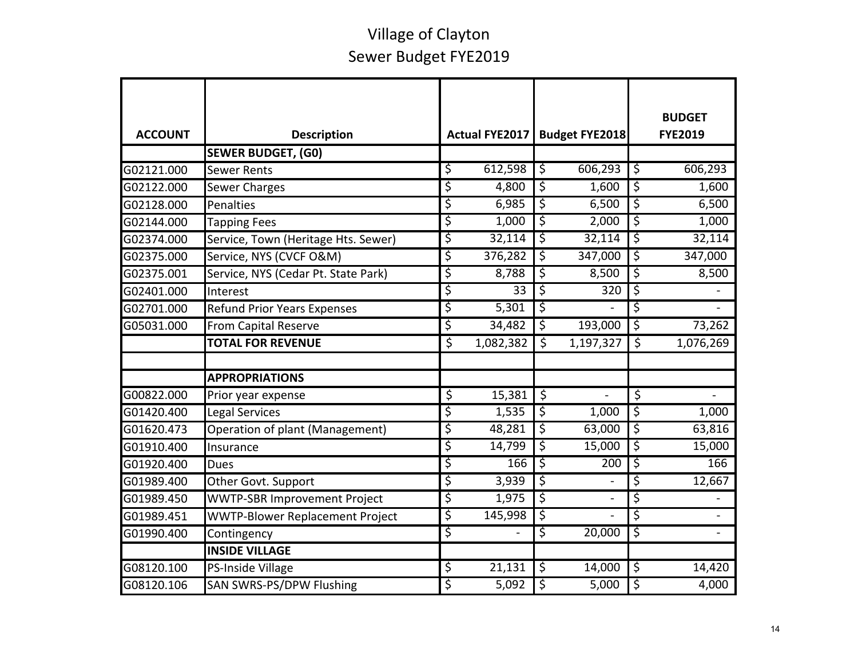| <b>ACCOUNT</b> | <b>Description</b>                     |                          | Actual FYE2017  | <b>Budget FYE2018</b>    |                  |                          | <b>BUDGET</b><br><b>FYE2019</b> |
|----------------|----------------------------------------|--------------------------|-----------------|--------------------------|------------------|--------------------------|---------------------------------|
|                | <b>SEWER BUDGET, (G0)</b>              |                          |                 |                          |                  |                          |                                 |
| G02121.000     | <b>Sewer Rents</b>                     | \$                       | 612,598         | \$                       | 606,293          | $\zeta$                  | 606,293                         |
| G02122.000     | <b>Sewer Charges</b>                   | \$                       | 4,800           | \$                       | 1,600            | \$                       | 1,600                           |
| G02128.000     | Penalties                              | \$                       | 6,985           | ऽ                        | 6,500            | ड़                       | 6,500                           |
| G02144.000     | <b>Tapping Fees</b>                    | \$                       | 1,000           | \$                       | 2,000            | \$                       | 1,000                           |
| G02374.000     | Service, Town (Heritage Hts. Sewer)    | \$                       | 32,114          | ऽ                        | 32,114           | ऽ                        | 32,114                          |
| G02375.000     | Service, NYS (CVCF O&M)                | \$                       | 376,282         | \$                       | 347,000          | ड़                       | 347,000                         |
| G02375.001     | Service, NYS (Cedar Pt. State Park)    | \$                       | 8,788           | \$                       | 8,500            | \$                       | 8,500                           |
| G02401.000     | Interest                               | \$                       | $\overline{33}$ | \$                       | $\overline{320}$ | \$                       |                                 |
| G02701.000     | <b>Refund Prior Years Expenses</b>     | \$                       | 5,301           | \$                       |                  | \$                       |                                 |
| G05031.000     | From Capital Reserve                   | \$                       | 34,482          | $\overline{\varsigma}$   | 193,000          | $\overline{\mathcal{S}}$ | 73,262                          |
|                | <b>TOTAL FOR REVENUE</b>               | \$                       | 1,082,382       | $\overline{\mathcal{S}}$ | 1,197,327        | $\zeta$                  | 1,076,269                       |
|                |                                        |                          |                 |                          |                  |                          |                                 |
|                | <b>APPROPRIATIONS</b>                  |                          |                 |                          |                  |                          |                                 |
| G00822.000     | Prior year expense                     | $\overline{\mathcal{S}}$ | 15,381          | $\overline{\mathcal{S}}$ |                  | $\overline{\mathcal{S}}$ |                                 |
| G01420.400     | <b>Legal Services</b>                  | \$                       | 1,535           | \$                       | 1,000            | \$                       | 1,000                           |
| G01620.473     | Operation of plant (Management)        | \$                       | 48,281          | \$                       | 63,000           | \$                       | 63,816                          |
| G01910.400     | Insurance                              | \$                       | 14,799          | $\overline{\mathcal{S}}$ | 15,000           | \$                       | 15,000                          |
| G01920.400     | Dues                                   | \$                       | 166             | \$                       | 200              | \$                       | 166                             |
| G01989.400     | Other Govt. Support                    | \$                       | 3,939           | $\overline{\varsigma}$   |                  | \$                       | 12,667                          |
| G01989.450     | <b>WWTP-SBR Improvement Project</b>    | \$                       | 1,975           | \$                       |                  | \$                       |                                 |
| G01989.451     | <b>WWTP-Blower Replacement Project</b> | \$                       | 145,998         | ऽ                        |                  | \$                       |                                 |
| G01990.400     | Contingency                            | \$                       |                 | \$                       | 20,000           | \$                       |                                 |
|                | <b>INSIDE VILLAGE</b>                  |                          |                 |                          |                  |                          |                                 |
| G08120.100     | PS-Inside Village                      | \$                       | 21,131          | $\overline{\varsigma}$   | 14,000           | \$                       | 14,420                          |
| G08120.106     | <b>SAN SWRS-PS/DPW Flushing</b>        | \$                       | 5,092           | \$                       | 5,000            | بر<br>پ                  | 4,000                           |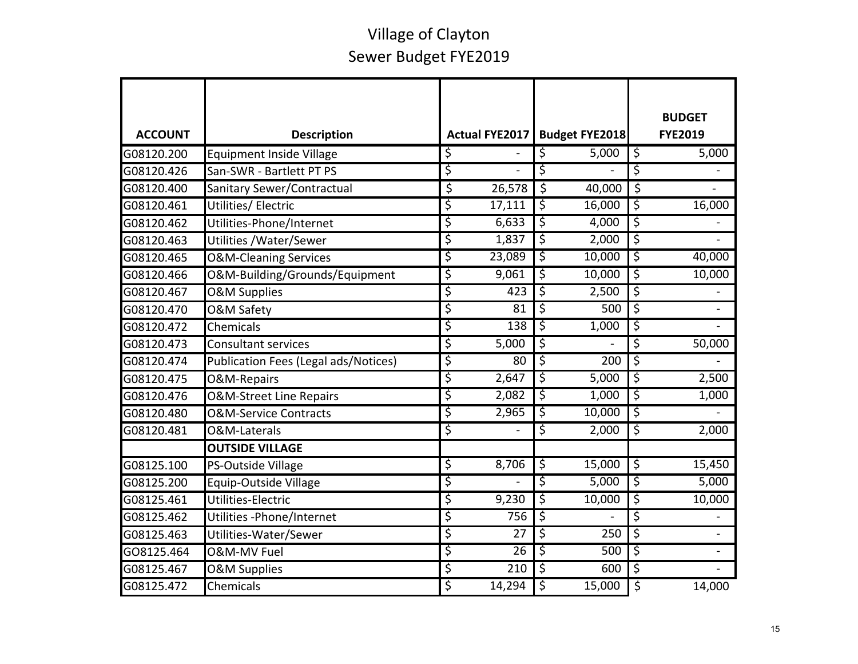|                |                                      |                       |                          |                       |                          | <b>BUDGET</b>  |
|----------------|--------------------------------------|-----------------------|--------------------------|-----------------------|--------------------------|----------------|
| <b>ACCOUNT</b> | <b>Description</b>                   | <b>Actual FYE2017</b> |                          | <b>Budget FYE2018</b> |                          | <b>FYE2019</b> |
| G08120.200     | <b>Equipment Inside Village</b>      | \$                    | \$                       | 5,000                 | $\varsigma$              | 5,000          |
| G08120.426     | San-SWR - Bartlett PT PS             | \$                    | \$                       |                       | \$                       |                |
| G08120.400     | Sanitary Sewer/Contractual           | \$<br>26,578          | $\overline{\varsigma}$   | 40,000                | \$                       |                |
| G08120.461     | Utilities/ Electric                  | \$<br>17,111          | \$                       | 16,000                | \$                       | 16,000         |
| G08120.462     | Utilities-Phone/Internet             | \$<br>6,633           | \$                       | 4,000                 | \$                       |                |
| G08120.463     | Utilities / Water/Sewer              | \$<br>1,837           | \$                       | 2,000                 | \$                       |                |
| G08120.465     | <b>O&amp;M-Cleaning Services</b>     | \$<br>23,089          | \$                       | 10,000                | \$                       | 40,000         |
| G08120.466     | O&M-Building/Grounds/Equipment       | \$<br>9,061           | \$                       | 10,000                | \$                       | 10,000         |
| G08120.467     | <b>O&amp;M Supplies</b>              | \$<br>423             | \$                       | 2,500                 | ड़                       |                |
| G08120.470     | O&M Safety                           | \$<br>81              | \$                       | 500                   | $\overline{\mathcal{S}}$ |                |
| G08120.472     | Chemicals                            | \$<br>138             | \$                       | 1,000                 | \$                       |                |
| G08120.473     | <b>Consultant services</b>           | \$<br>5,000           | \$                       |                       | \$                       | 50,000         |
| G08120.474     | Publication Fees (Legal ads/Notices) | \$<br>80              | ड़                       | 200                   | \$                       |                |
| G08120.475     | O&M-Repairs                          | \$<br>2,647           | \$                       | 5,000                 | \$                       | 2,500          |
| G08120.476     | O&M-Street Line Repairs              | \$<br>2,082           | \$                       | 1,000                 | \$                       | 1,000          |
| G08120.480     | <b>O&amp;M-Service Contracts</b>     | \$<br>2,965           | \$                       | 10,000                | ड़                       |                |
| G08120.481     | O&M-Laterals                         | \$                    | \$                       | 2,000                 | \$                       | 2,000          |
|                | <b>OUTSIDE VILLAGE</b>               |                       |                          |                       |                          |                |
| G08125.100     | PS-Outside Village                   | \$<br>8,706           | $\overline{\mathcal{S}}$ | 15,000                | $\overline{\varsigma}$   | 15,450         |
| G08125.200     | Equip-Outside Village                | \$                    | \$                       | 5,000                 | \$                       | 5,000          |
| G08125.461     | Utilities-Electric                   | \$<br>9,230           | \$                       | 10,000                | \$                       | 10,000         |
| G08125.462     | Utilities - Phone/Internet           | \$<br>756             | \$                       |                       | \$                       |                |
| G08125.463     | Utilities-Water/Sewer                | \$<br>27              | \$                       | 250                   | \$                       |                |
| GO8125.464     | <b>O&amp;M-MV Fuel</b>               | \$<br>26              | \$                       | 500                   | \$                       |                |
| G08125.467     | <b>O&amp;M Supplies</b>              | \$<br>210             | \$                       | 600                   | \$                       |                |
| G08125.472     | Chemicals                            | \$<br>14,294          | \$                       | 15,000                | \$                       | 14,000         |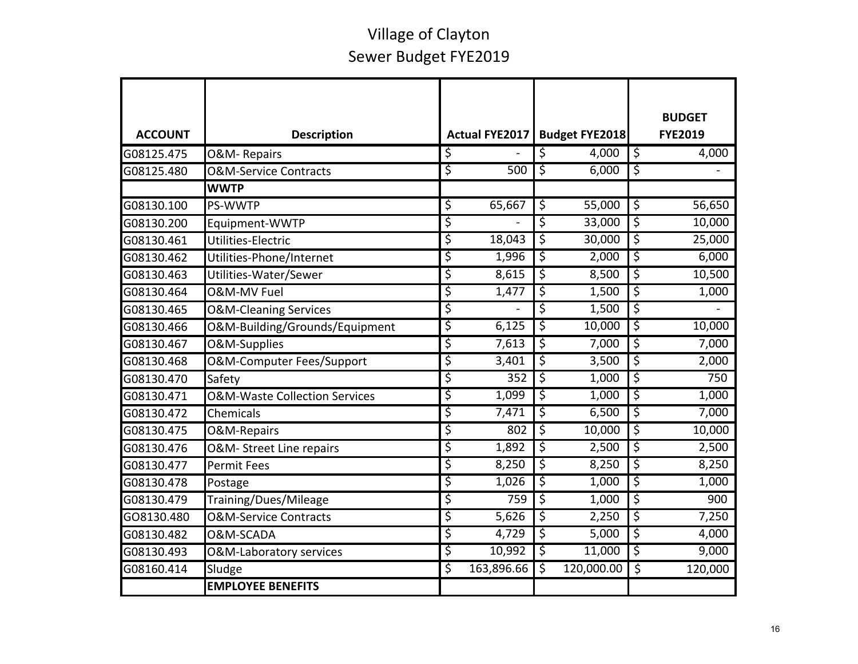|                |                                          |                       |                        |                     |                          | <b>BUDGET</b>  |
|----------------|------------------------------------------|-----------------------|------------------------|---------------------|--------------------------|----------------|
| <b>ACCOUNT</b> | <b>Description</b>                       | <b>Actual FYE2017</b> |                        | Budget FYE2018      |                          | <b>FYE2019</b> |
| G08125.475     | O&M-Repairs                              | \$                    | \$                     | 4,000               | $\overline{\varsigma}$   | 4,000          |
| G08125.480     | <b>O&amp;M-Service Contracts</b>         | \$<br>500             | \$                     | 6,000               | \$                       |                |
|                | <b>WWTP</b>                              |                       |                        |                     |                          |                |
| G08130.100     | PS-WWTP                                  | \$<br>65,667          | $\overline{\varsigma}$ | 55,000              | $\overline{\varsigma}$   | 56,650         |
| G08130.200     | Equipment-WWTP                           | \$                    | \$                     | 33,000              | \$                       | 10,000         |
| G08130.461     | Utilities-Electric                       | \$<br>18,043          | \$                     | 30,000              | \$                       | 25,000         |
| G08130.462     | Utilities-Phone/Internet                 | \$<br>1,996           | \$                     | 2,000               | \$                       | 6,000          |
| G08130.463     | Utilities-Water/Sewer                    | \$<br>8,615           | \$                     | 8,500               | \$                       | 10,500         |
| G08130.464     | O&M-MV Fuel                              | \$<br>1,477           | \$                     | 1,500               | \$                       | 1,000          |
| G08130.465     | <b>O&amp;M-Cleaning Services</b>         | \$                    | \$                     | 1,500               | \$                       |                |
| G08130.466     | O&M-Building/Grounds/Equipment           | \$<br>6,125           | \$                     | 10,000              | \$                       | 10,000         |
| G08130.467     | O&M-Supplies                             | \$<br>7,613           | \$                     | 7,000               | \$                       | 7,000          |
| G08130.468     | O&M-Computer Fees/Support                | \$<br>3,401           | \$                     | $\overline{3}$ ,500 | \$                       | 2,000          |
| G08130.470     | Safety                                   | \$<br>352             | \$                     | 1,000               | \$                       | 750            |
| G08130.471     | <b>O&amp;M-Waste Collection Services</b> | \$<br>1,099           | \$                     | 1,000               | $\overline{\varsigma}$   | 1,000          |
| G08130.472     | Chemicals                                | \$<br>7,471           | \$                     | 6,500               | \$                       | 7,000          |
| G08130.475     | O&M-Repairs                              | \$<br>802             | \$                     | 10,000              | \$                       | 10,000         |
| G08130.476     | O&M- Street Line repairs                 | \$<br>1,892           | \$                     | 2,500               | \$                       | 2,500          |
| G08130.477     | <b>Permit Fees</b>                       | \$<br>8,250           | \$                     | 8,250               | \$                       | 8,250          |
| G08130.478     | Postage                                  | \$<br>1,026           | \$                     | 1,000               | \$                       | 1,000          |
| G08130.479     | Training/Dues/Mileage                    | \$<br>759             | \$                     | 1,000               | \$                       | 900            |
| GO8130.480     | <b>O&amp;M-Service Contracts</b>         | \$<br>5,626           | \$                     | 2,250               | \$                       | 7,250          |
| G08130.482     | O&M-SCADA                                | \$<br>4,729           | \$                     | 5,000               | \$                       | 4,000          |
| G08130.493     | <b>O&amp;M-Laboratory services</b>       | \$<br>10,992          | \$                     | 11,000              | \$                       | 9,000          |
| G08160.414     | Sludge                                   | \$<br>163,896.66      | \$                     | 120,000.00          | $\overline{\mathcal{S}}$ | 120,000        |
|                | <b>EMPLOYEE BENEFITS</b>                 |                       |                        |                     |                          |                |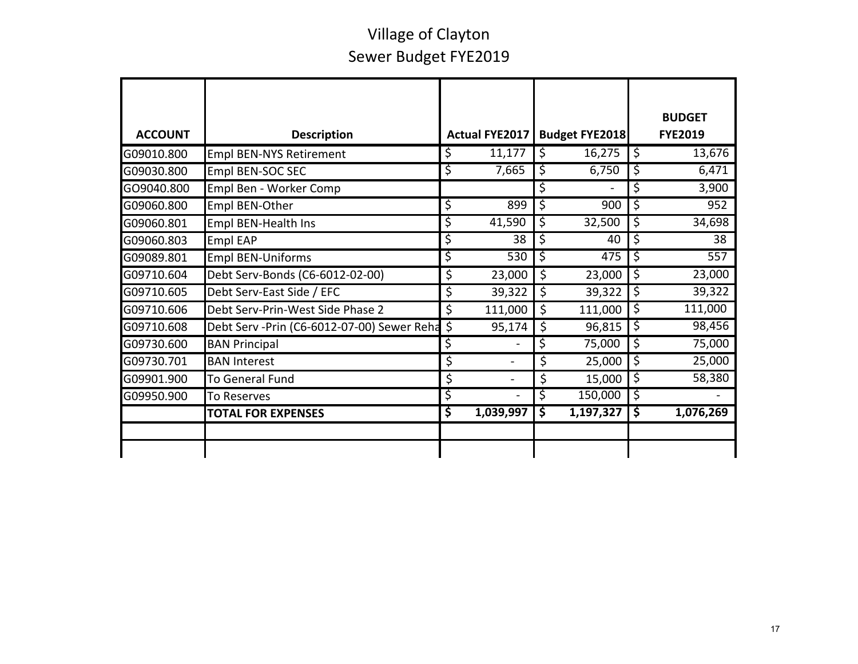| <b>ACCOUNT</b> | <b>Description</b>                          | Actual FYE2017       |         | <b>Budget FYE2018</b> | <b>BUDGET</b><br><b>FYE2019</b> |
|----------------|---------------------------------------------|----------------------|---------|-----------------------|---------------------------------|
| G09010.800     | <b>Empl BEN-NYS Retirement</b>              | \$<br>11,177         | \$      | 16,275                | \$<br>13,676                    |
| G09030.800     | Empl BEN-SOC SEC                            | \$<br>7,665          | \$      | 6,750                 | \$<br>6,471                     |
| GO9040.800     | Empl Ben - Worker Comp                      |                      | \$      |                       | \$<br>3,900                     |
| G09060.800     | Empl BEN-Other                              | \$<br>899            | \$      | 900                   | \$<br>952                       |
| G09060.801     | Empl BEN-Health Ins                         | \$<br>41,590         | \$      | 32,500                | \$<br>34,698                    |
| G09060.803     | <b>Empl EAP</b>                             | \$<br>38             | \$      | 40                    | \$<br>38                        |
| G09089.801     | <b>Empl BEN-Uniforms</b>                    | \$<br>530            | ड़      | 475                   | \$<br>557                       |
| G09710.604     | Debt Serv-Bonds (C6-6012-02-00)             | \$<br>23,000         | \$      | 23,000                | \$<br>23,000                    |
| G09710.605     | Debt Serv-East Side / EFC                   | \$<br>39,322         | $\zeta$ | 39,322                | \$<br>39,322                    |
| G09710.606     | Debt Serv-Prin-West Side Phase 2            | \$<br>111,000        | $\zeta$ | 111,000               | \$<br>111,000                   |
| G09710.608     | Debt Serv - Prin (C6-6012-07-00) Sewer Reha | \$<br>95,174         | \$      | 96,815                | \$<br>98,456                    |
| G09730.600     | <b>BAN Principal</b>                        | \$                   | \$      | 75,000                | \$<br>75,000                    |
| G09730.701     | <b>BAN Interest</b>                         | \$<br>$\blacksquare$ | \$      | 25,000                | \$<br>25,000                    |
| G09901.900     | <b>To General Fund</b>                      | \$<br>$\blacksquare$ | \$      | 15,000                | \$<br>58,380                    |
| G09950.900     | To Reserves                                 | \$<br>L,             | \$      | 150,000               | \$                              |
|                | <b>TOTAL FOR EXPENSES</b>                   | \$<br>1,039,997      | \$      | 1,197,327             | \$<br>1,076,269                 |
|                |                                             |                      |         |                       |                                 |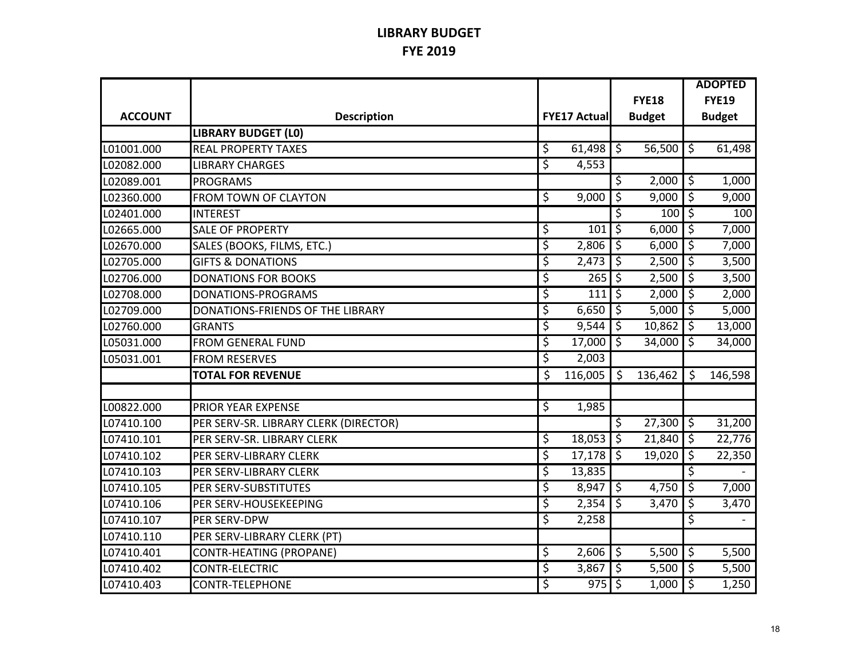#### **LIBRARY BUDGET FYE 2019**

|                |                                       |                     |                          |               |                          | <b>ADOPTED</b> |
|----------------|---------------------------------------|---------------------|--------------------------|---------------|--------------------------|----------------|
|                |                                       |                     |                          | <b>FYE18</b>  |                          | <b>FYE19</b>   |
| <b>ACCOUNT</b> | <b>Description</b>                    | <b>FYE17 Actual</b> |                          | <b>Budget</b> |                          | <b>Budget</b>  |
|                | <b>LIBRARY BUDGET (LO)</b>            |                     |                          |               |                          |                |
| L01001.000     | <b>REAL PROPERTY TAXES</b>            | \$<br>61,498        | $\mathcal{S}$            | 56,500        | ऽ                        | 61,498         |
| L02082.000     | <b>LIBRARY CHARGES</b>                | \$<br>4,553         |                          |               |                          |                |
| L02089.001     | <b>PROGRAMS</b>                       |                     | \$                       | 2,000         | \$                       | 1,000          |
| L02360.000     | <b>FROM TOWN OF CLAYTON</b>           | \$<br>9,000         | \$                       | 9,000         | \$                       | 9,000          |
| L02401.000     | <b>INTEREST</b>                       |                     | \$                       | 100           | \$                       | 100            |
| L02665.000     | <b>SALE OF PROPERTY</b>               | \$<br>101           | \$                       | 6,000         | \$                       | 7,000          |
| L02670.000     | SALES (BOOKS, FILMS, ETC.)            | \$<br>2,806         | \$                       | 6,000         | \$                       | 7,000          |
| L02705.000     | <b>GIFTS &amp; DONATIONS</b>          | \$<br>2,473         | \$                       | 2,500         | $\overline{\varsigma}$   | 3,500          |
| L02706.000     | <b>DONATIONS FOR BOOKS</b>            | \$<br>265           | \$                       | 2,500         | \$                       | 3,500          |
| L02708.000     | DONATIONS-PROGRAMS                    | \$<br>111           | \$                       | 2,000         | \$                       | 2,000          |
| L02709.000     | DONATIONS-FRIENDS OF THE LIBRARY      | \$<br>6,650         | \$                       | 5,000         | $\overline{\varsigma}$   | 5,000          |
| L02760.000     | <b>GRANTS</b>                         | \$<br>9,544         | \$                       | 10,862        | \$                       | 13,000         |
| L05031.000     | <b>FROM GENERAL FUND</b>              | \$<br>17,000        | $\overline{\varsigma}$   | 34,000        | $\overline{\mathcal{S}}$ | 34,000         |
| L05031.001     | <b>FROM RESERVES</b>                  | \$<br>2,003         |                          |               |                          |                |
|                | <b>TOTAL FOR REVENUE</b>              | \$<br>116,005       | Ŝ.                       | 136,462       | Ś.                       | 146,598        |
|                |                                       |                     |                          |               |                          |                |
| L00822.000     | PRIOR YEAR EXPENSE                    | \$<br>1,985         |                          |               |                          |                |
| L07410.100     | PER SERV-SR. LIBRARY CLERK (DIRECTOR) |                     | \$                       | 27,300        | \$                       | 31,200         |
| L07410.101     | PER SERV-SR. LIBRARY CLERK            | \$<br>18,053        | $\overline{\varsigma}$   | 21,840        | $\overline{\varsigma}$   | 22,776         |
| L07410.102     | PER SERV-LIBRARY CLERK                | \$<br>17,178        | \$                       | 19,020        | ें                       | 22,350         |
| L07410.103     | PER SERV-LIBRARY CLERK                | \$<br>13,835        |                          |               | \$                       |                |
| L07410.105     | PER SERV-SUBSTITUTES                  | \$<br>8,947         | \$                       | 4,750         | $\overline{\varsigma}$   | 7,000          |
| L07410.106     | PER SERV-HOUSEKEEPING                 | \$<br>2,354         | \$                       | 3,470         | \$                       | 3,470          |
| L07410.107     | PER SERV-DPW                          | \$<br>2,258         |                          |               | \$                       |                |
| L07410.110     | PER SERV-LIBRARY CLERK (PT)           |                     |                          |               |                          |                |
| L07410.401     | CONTR-HEATING (PROPANE)               | \$<br>2,606         | $\overline{\mathcal{S}}$ | 5,500         | $\overline{\varsigma}$   | 5,500          |
| L07410.402     | CONTR-ELECTRIC                        | \$<br>3,867         | \$                       | 5,500         | \$                       | 5,500          |
| L07410.403     | CONTR-TELEPHONE                       | \$<br>975           | $\zeta$                  | 1,000         | $\overline{\varsigma}$   | 1,250          |